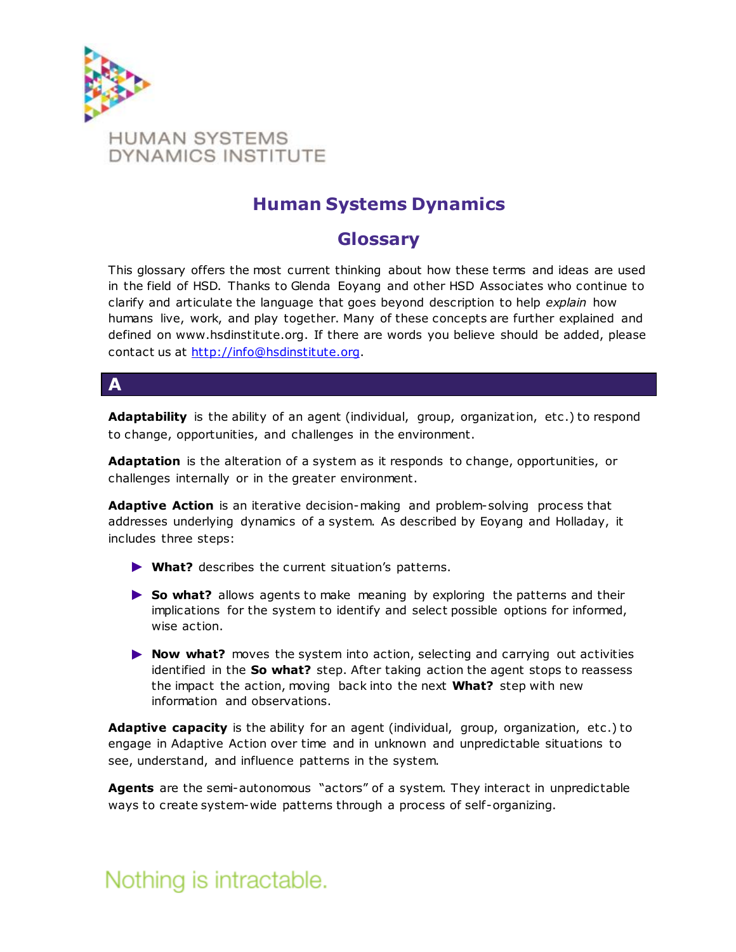

### **Human Systems Dynamics**

### **Glossary**

This glossary offers the most current thinking about how these terms and ideas are used in the field of HSD. Thanks to Glenda Eoyang and other HSD Associates who continue to clarify and articulate the language that goes beyond description to help *explain* how humans live, work, and play together. Many of these concepts are further explained and defined on www.hsdinstitute.org. If there are words you believe should be added, please contact us at [http://info@hsdinstitute.org.](http://info@hsdinstitute.org/)

### **A**

Adaptability is the ability of an agent (individual, group, organization, etc.) to respond to change, opportunities, and challenges in the environment.

**Adaptation** is the alteration of a system as it responds to change, opportunities, or challenges internally or in the greater environment.

**Adaptive Action** is an iterative decision-making and problem-solving process that addresses underlying dynamics of a system. As described by Eoyang and Holladay, it includes three steps:

- ► **What?** describes the current situation's patterns.
- ▶ So what? allows agents to make meaning by exploring the patterns and their implications for the system to identify and select possible options for informed, wise action.
- ► **Now what?** moves the system into action, selecting and carrying out activities identified in the **So what?** step. After taking action the agent stops to reassess the impact the action, moving back into the next **What?** step with new information and observations.

**Adaptive capacity** is the ability for an agent (individual, group, organization, etc .) to engage in Adaptive Action over time and in unknown and unpredictable situations to see, understand, and influence patterns in the system.

**Agents** are the semi-autonomous "actors" of a system. They interact in unpredictable ways to create system-wide patterns through a process of self-organizing.

### Nothing is intractable.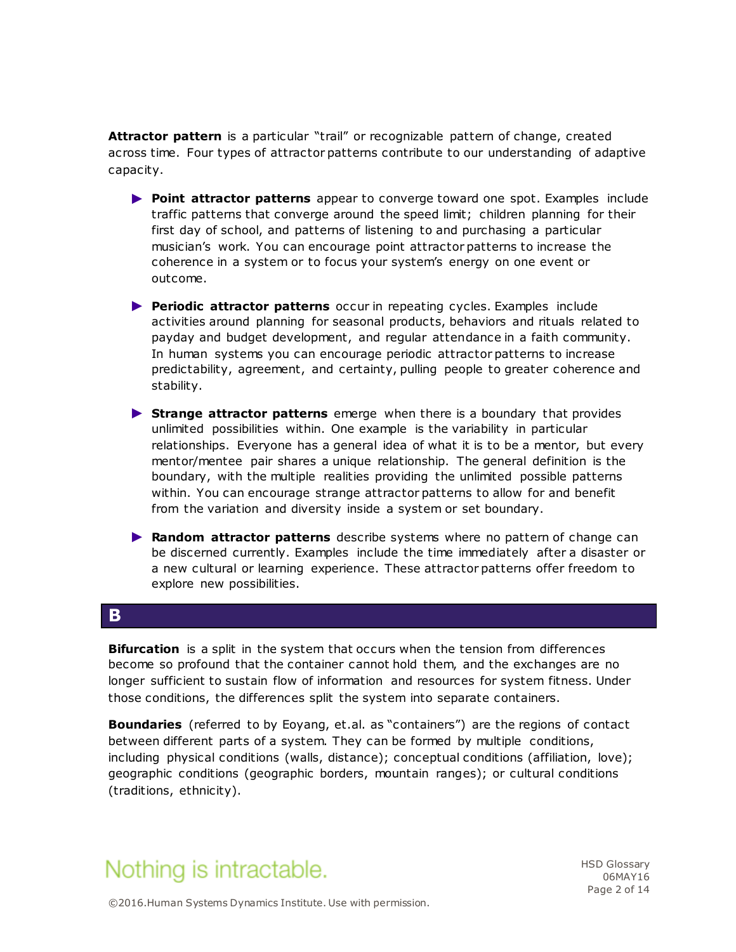**Attractor pattern** is a particular "trail" or recognizable pattern of change, created across time. Four types of attractor patterns contribute to our understanding of adaptive capacity.

- ► **Point attractor patterns** appear to converge toward one spot. Examples include traffic patterns that converge around the speed limit; children planning for their first day of school, and patterns of listening to and purchasing a particular musician's work. You can encourage point attractor patterns to increase the coherence in a system or to focus your system's energy on one event or outcome.
- ► **Periodic attractor patterns** occur in repeating cycles. Examples include activities around planning for seasonal products, behaviors and rituals related to payday and budget development, and regular attendance in a faith community. In human systems you can encourage periodic attractor patterns to increase predictability, agreement, and certainty, pulling people to greater coherence and stability.
- ► **Strange attractor patterns** emerge when there is a boundary that provides unlimited possibilities within. One example is the variability in particular relationships. Everyone has a general idea of what it is to be a mentor, but every mentor/mentee pair shares a unique relationship. The general definition is the boundary, with the multiple realities providing the unlimited possible patterns within. You can encourage strange attractor patterns to allow for and benefit from the variation and diversity inside a system or set boundary.
- ► **Random attractor patterns** describe systems where no pattern of change can be discerned currently. Examples include the time immediately after a disaster or a new cultural or learning experience. These attractor patterns offer freedom to explore new possibilities.

#### **B**

**Bifurcation** is a split in the system that occurs when the tension from differences become so profound that the container cannot hold them, and the exchanges are no longer sufficient to sustain flow of information and resources for system fitness. Under those conditions, the differences split the system into separate containers.

**Boundaries** (referred to by Eoyang, et.al. as "containers") are the regions of contact between different parts of a system. They can be formed by multiple conditions, including physical conditions (walls, distance); conceptual conditions (affiliation, love); geographic conditions (geographic borders, mountain ranges); or cultural conditions (traditions, ethnicity).

# Nothing is intractable.

HSD Glossary 06MAY16 Page 2 of 14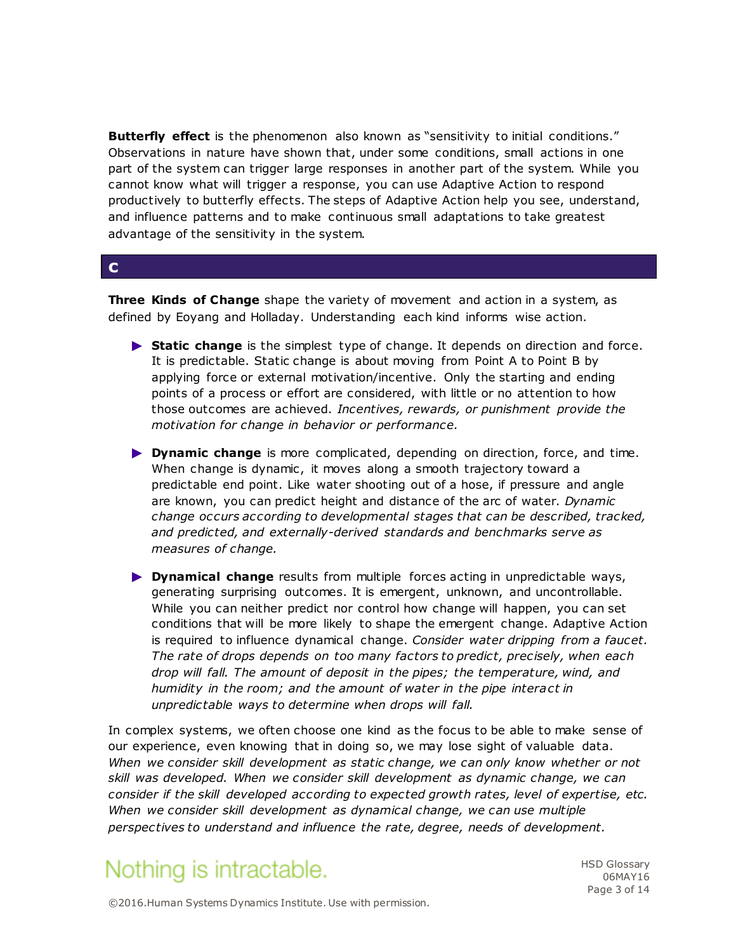**Butterfly effect** is the phenomenon also known as "sensitivity to initial conditions." Observations in nature have shown that, under some conditions, small actions in one part of the system can trigger large responses in another part of the system. While you cannot know what will trigger a response, you can use Adaptive Action to respond productively to butterfly effects. The steps of Adaptive Action help you see, understand, and influence patterns and to make continuous small adaptations to take greatest advantage of the sensitivity in the system.

#### **c**

**Three Kinds of Change** shape the variety of movement and action in a system, as defined by Eoyang and Holladay. Understanding each kind informs wise action.

- ► **Static change** is the simplest type of change. It depends on direction and force. It is predictable. Static change is about moving from Point A to Point B by applying force or external motivation/incentive. Only the starting and ending points of a process or effort are considered, with little or no attention to how those outcomes are achieved. *Incentives, rewards, or punishment provide the motivation for change in behavior or performance.*
- ► **Dynamic change** is more complicated, depending on direction, force, and time. When change is dynamic, it moves along a smooth trajectory toward a predictable end point. Like water shooting out of a hose, if pressure and angle are known, you can predict height and distance of the arc of water. *Dynamic change occurs according to developmental stages that can be described, tracked, and predicted, and externally-derived standards and benchmarks serve as measures of change.*
- ► **Dynamical change** results from multiple forces acting in unpredictable ways, generating surprising outcomes. It is emergent, unknown, and uncontrollable. While you can neither predict nor control how change will happen, you can set conditions that will be more likely to shape the emergent change. Adaptive Action is required to influence dynamical change. *Consider water dripping from a faucet. The rate of drops depends on too many factors to predict, precisely, when each drop will fall. The amount of deposit in the pipes; the temperature, wind, and humidity in the room; and the amount of water in the pipe interact in unpredictable ways to determine when drops will fall.*

In complex systems, we often choose one kind as the focus to be able to make sense of our experience, even knowing that in doing so, we may lose sight of valuable data. *When we consider skill development as static change, we can only know whether or not skill was developed. When we consider skill development as dynamic change, we can consider if the skill developed according to expected growth rates, level of expertise, etc. When we consider skill development as dynamical change, we can use multiple perspectives to understand and influence the rate, degree, needs of development.*

# Nothing is intractable.

HSD Glossary 06MAY16 Page 3 of 14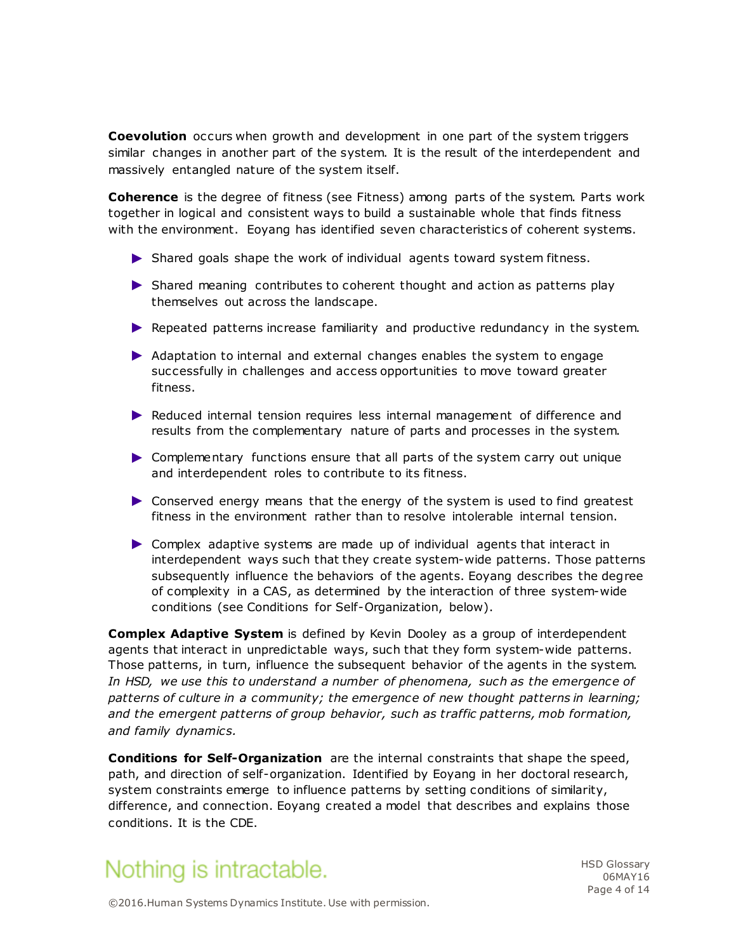**Coevolution** occurs when growth and development in one part of the system triggers similar changes in another part of the system. It is the result of the interdependent and massively entangled nature of the system itself.

**Coherence** is the degree of fitness (see Fitness) among parts of the system. Parts work together in logical and consistent ways to build a sustainable whole that finds fitness with the environment. Eoyang has identified seven characteristics of coherent systems.

- ► Shared goals shape the work of individual agents toward system fitness.
- ► Shared meaning contributes to coherent thought and action as patterns play themselves out across the landscape.
- ► Repeated patterns increase familiarity and productive redundancy in the system.
- ► Adaptation to internal and external changes enables the system to engage successfully in challenges and access opportunities to move toward greater fitness.
- ► Reduced internal tension requires less internal management of difference and results from the complementary nature of parts and processes in the system.
- ► Complementary functions ensure that all parts of the system carry out unique and interdependent roles to contribute to its fitness.
- ► Conserved energy means that the energy of the system is used to find greatest fitness in the environment rather than to resolve intolerable internal tension.
- ► Complex adaptive systems are made up of individual agents that interact in interdependent ways such that they create system-wide patterns. Those patterns subsequently influence the behaviors of the agents. Eoyang describes the degree of complexity in a CAS, as determined by the interaction of three system-wide conditions (see Conditions for Self-Organization, below).

**Complex Adaptive System** is defined by Kevin Dooley as a group of interdependent agents that interact in unpredictable ways, such that they form system-wide patterns. Those patterns, in turn, influence the subsequent behavior of the agents in the system. In HSD, we use this to understand a number of phenomena, such as the emergence of *patterns of culture in a community; the emergence of new thought patterns in learning; and the emergent patterns of group behavior, such as traffic patterns, mob formation, and family dynamics.*

**Conditions for Self-Organization** are the internal constraints that shape the speed, path, and direction of self-organization. Identified by Eoyang in her doctoral research, system constraints emerge to influence patterns by setting conditions of similarity, difference, and connection. Eoyang created a model that describes and explains those conditions. It is the CDE.

# Nothing is intractable.

HSD Glossary 06MAY16 Page 4 of 14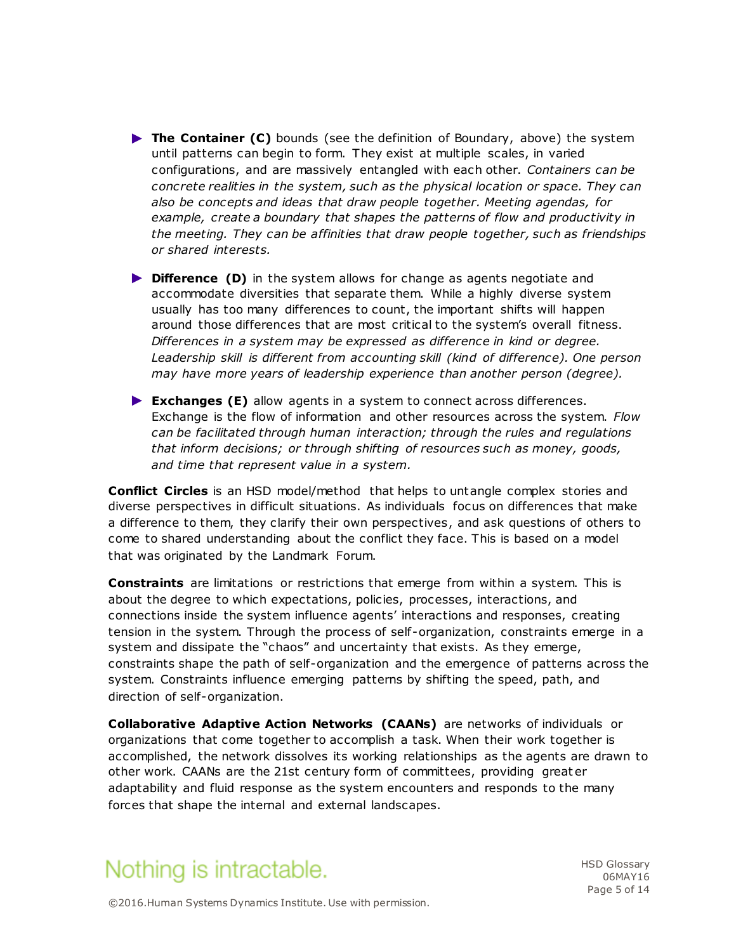- ► **The Container (C)** bounds (see the definition of Boundary, above) the system until patterns can begin to form. They exist at multiple scales, in varied configurations, and are massively entangled with each other. *Containers can be concrete realities in the system, such as the physical location or space. They can also be concepts and ideas that draw people together. Meeting agendas, for example, create a boundary that shapes the patterns of flow and productivity in the meeting. They can be affinities that draw people together, such as friendships or shared interests.*
- ► **Difference (D)** in the system allows for change as agents negotiate and accommodate diversities that separate them. While a highly diverse system usually has too many differences to count, the important shifts will happen around those differences that are most critical to the system's overall fitness. *Differences in a system may be expressed as difference in kind or degree.*  Leadership skill is different from accounting skill (kind of difference). One person *may have more years of leadership experience than another person (degree).*
- ► **Exchanges (E)** allow agents in a system to connect across differences. Exchange is the flow of information and other resources across the system. *Flow can be facilitated through human interaction; through the rules and regulations that inform decisions; or through shifting of resources such as money, goods, and time that represent value in a system.*

**Conflict Circles** is an HSD model/method that helps to untangle complex stories and diverse perspectives in difficult situations. As individuals focus on differences that make a difference to them, they clarify their own perspectives, and ask questions of others to come to shared understanding about the conflict they face. This is based on a model that was originated by the Landmark Forum.

**Constraints** are limitations or restrictions that emerge from within a system. This is about the degree to which expectations, policies, processes, interactions, and connections inside the system influence agents' interactions and responses, creating tension in the system. Through the process of self-organization, constraints emerge in a system and dissipate the "chaos" and uncertainty that exists. As they emerge, constraints shape the path of self-organization and the emergence of patterns across the system. Constraints influence emerging patterns by shifting the speed, path, and direction of self-organization.

**Collaborative Adaptive Action Networks (CAANs)** are networks of individuals or organizations that come together to accomplish a task. When their work together is accomplished, the network dissolves its working relationships as the agents are drawn to other work. CAANs are the 21st century form of committees, providing great er adaptability and fluid response as the system encounters and responds to the many forces that shape the internal and external landscapes.



HSD Glossary 06MAY16 Page 5 of 14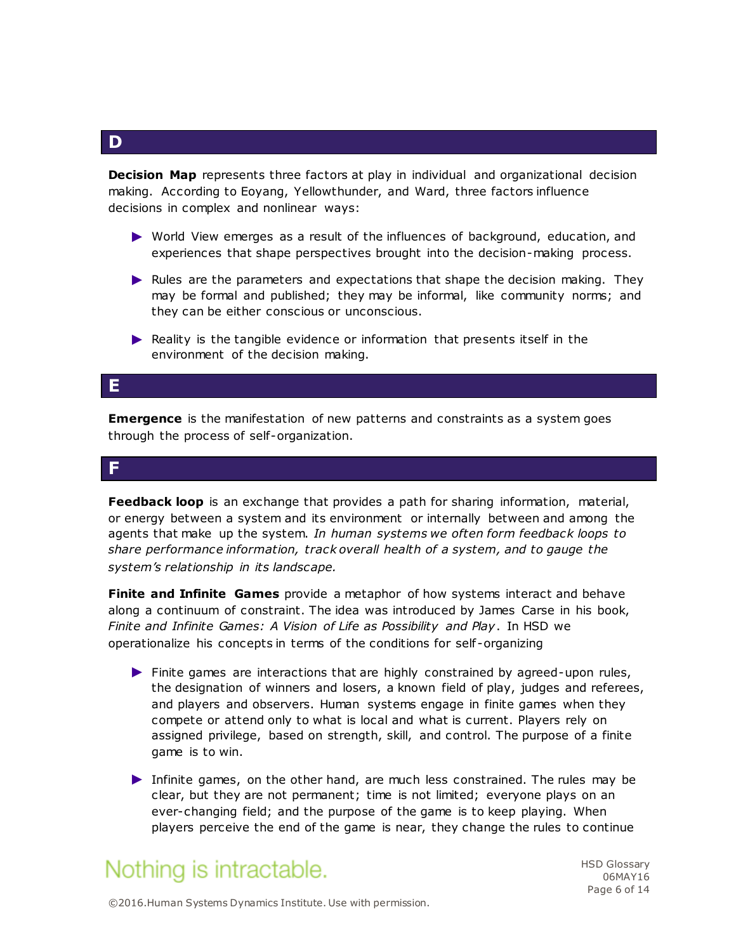**Decision Map** represents three factors at play in individual and organizational decision making. According to Eoyang, Yellowthunder, and Ward, three factors influence decisions in complex and nonlinear ways:

- ► World View emerges as a result of the influences of background, education, and experiences that shape perspectives brought into the decision-making process.
- ► Rules are the parameters and expectations that shape the decision making. They may be formal and published; they may be informal, like community norms; and they can be either conscious or unconscious.
- ► Reality is the tangible evidence or information that presents itself in the environment of the decision making.

### **E**

**Emergence** is the manifestation of new patterns and constraints as a system goes through the process of self-organization.

#### **F**

**Feedback loop** is an exchange that provides a path for sharing information, material, or energy between a system and its environment or internally between and among the agents that make up the system. *In human systems we often form feedback loops to share performance information, track overall health of a system, and to gauge the system's relationship in its landscape.*

**Finite and Infinite Games** provide a metaphor of how systems interact and behave along a continuum of constraint. The idea was introduced by James Carse in his book, *Finite and Infinite Games: A Vision of Life as Possibility and Play*. In HSD we operationalize his concepts in terms of the conditions for self -organizing

- ► Finite games are interactions that are highly constrained by agreed-upon rules, the designation of winners and losers, a known field of play, judges and referees, and players and observers. Human systems engage in finite games when they compete or attend only to what is local and what is current. Players rely on assigned privilege, based on strength, skill, and control. The purpose of a finite game is to win.
- ► Infinite games, on the other hand, are much less constrained. The rules may be clear, but they are not permanent; time is not limited; everyone plays on an ever-changing field; and the purpose of the game is to keep playing. When players perceive the end of the game is near, they change the rules to continue

# Nothing is intractable.

HSD Glossary 06MAY16 Page 6 of 14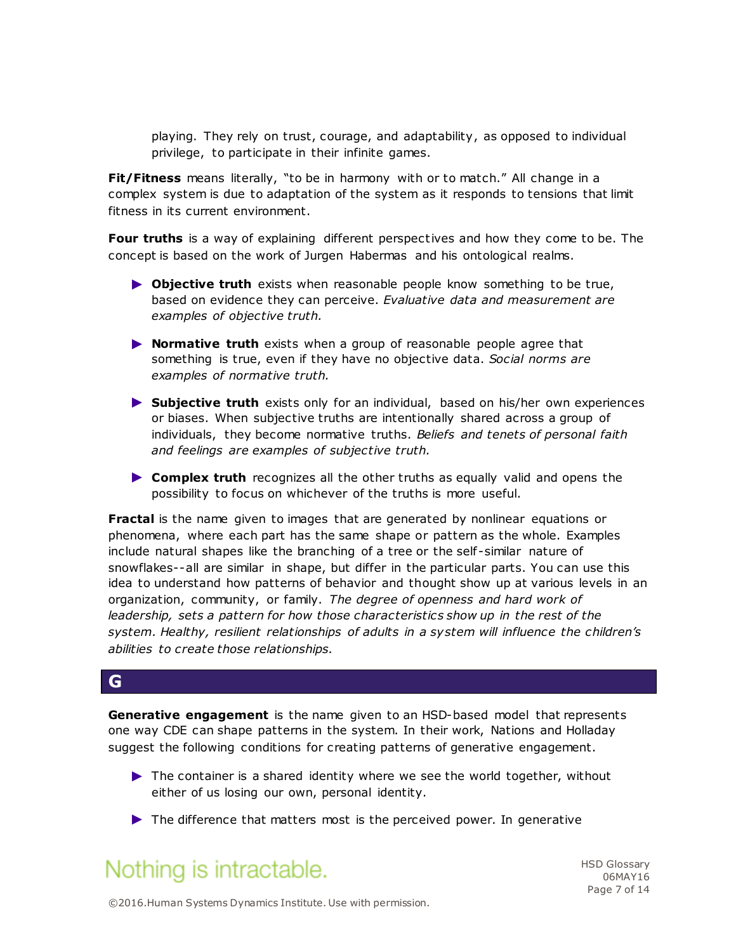playing. They rely on trust, courage, and adaptability, as opposed to individual privilege, to participate in their infinite games.

**Fit/Fitness** means literally, "to be in harmony with or to match." All change in a complex system is due to adaptation of the system as it responds to tensions that limit fitness in its current environment.

**Four truths** is a way of explaining different perspectives and how they come to be. The concept is based on the work of Jurgen Habermas and his ontological realms.

- ► **Objective truth** exists when reasonable people know something to be true, based on evidence they can perceive. *Evaluative data and measurement are examples of objective truth.*
- ► **Normative truth** exists when a group of reasonable people agree that something is true, even if they have no objective data. *Social norms are examples of normative truth.*
- ► **Subjective truth** exists only for an individual, based on his/her own experiences or biases. When subjective truths are intentionally shared across a group of individuals, they become normative truths. *Beliefs and tenets of personal faith and feelings are examples of subjective truth.*
- ► **Complex truth** recognizes all the other truths as equally valid and opens the possibility to focus on whichever of the truths is more useful.

**Fractal** is the name given to images that are generated by nonlinear equations or phenomena, where each part has the same shape or pattern as the whole. Examples include natural shapes like the branching of a tree or the self-similar nature of snowflakes--all are similar in shape, but differ in the particular parts. You can use this idea to understand how patterns of behavior and thought show up at various levels in an organization, community, or family. *The degree of openness and hard work of leadership, sets a pattern for how those characteristics show up in the rest of the system. Healthy, resilient relationships of adults in a system will influence the children's abilities to create those relationships.*

#### **G**

**Generative engagement** is the name given to an HSD-based model that represents one way CDE can shape patterns in the system. In their work, Nations and Holladay suggest the following conditions for creating patterns of generative engagement.

- ► The container is a shared identity where we see the world together, without either of us losing our own, personal identity.
- ► The difference that matters most is the perceived power. In generative

### Nothing is intractable.

HSD Glossary 06MAY16 Page 7 of 14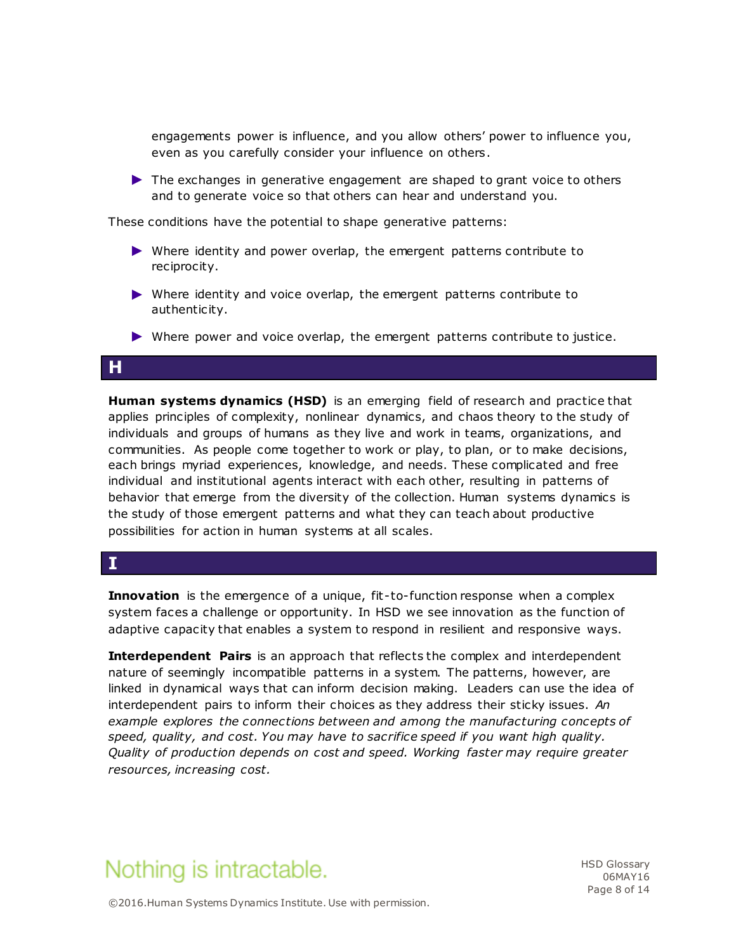engagements power is influence, and you allow others' power to influence you, even as you carefully consider your influence on others.

► The exchanges in generative engagement are shaped to grant voice to others and to generate voice so that others can hear and understand you.

These conditions have the potential to shape generative patterns:

- ► Where identity and power overlap, the emergent patterns contribute to reciprocity.
- ► Where identity and voice overlap, the emergent patterns contribute to authenticity.
- ► Where power and voice overlap, the emergent patterns contribute to justice.

### **H**

**Human systems dynamics (HSD)** is an emerging field of research and practice that applies principles of complexity, nonlinear dynamics, and chaos theory to the study of individuals and groups of humans as they live and work in teams, organizations, and communities. As people come together to work or play, to plan, or to make decisions, each brings myriad experiences, knowledge, and needs. These complicated and free individual and institutional agents interact with each other, resulting in patterns of behavior that emerge from the diversity of the collection. Human systems dynamics is the study of those emergent patterns and what they can teach about productive possibilities for action in human systems at all scales.

### **I**

**Innovation** is the emergence of a unique, fit-to-function response when a complex system faces a challenge or opportunity. In HSD we see innovation as the function of adaptive capacity that enables a system to respond in resilient and responsive ways.

**Interdependent Pairs** is an approach that reflects the complex and interdependent nature of seemingly incompatible patterns in a system. The patterns, however, are linked in dynamical ways that can inform decision making. Leaders can use the idea of interdependent pairs to inform their choices as they address their sticky issues. *An example explores the connections between and among the manufacturing concepts of speed, quality, and cost. You may have to sacrifice speed if you want high quality. Quality of production depends on cost and speed. Working faster may require greater resources, increasing cost.* 

### Nothing is intractable.

HSD Glossary 06MAY16 Page 8 of 14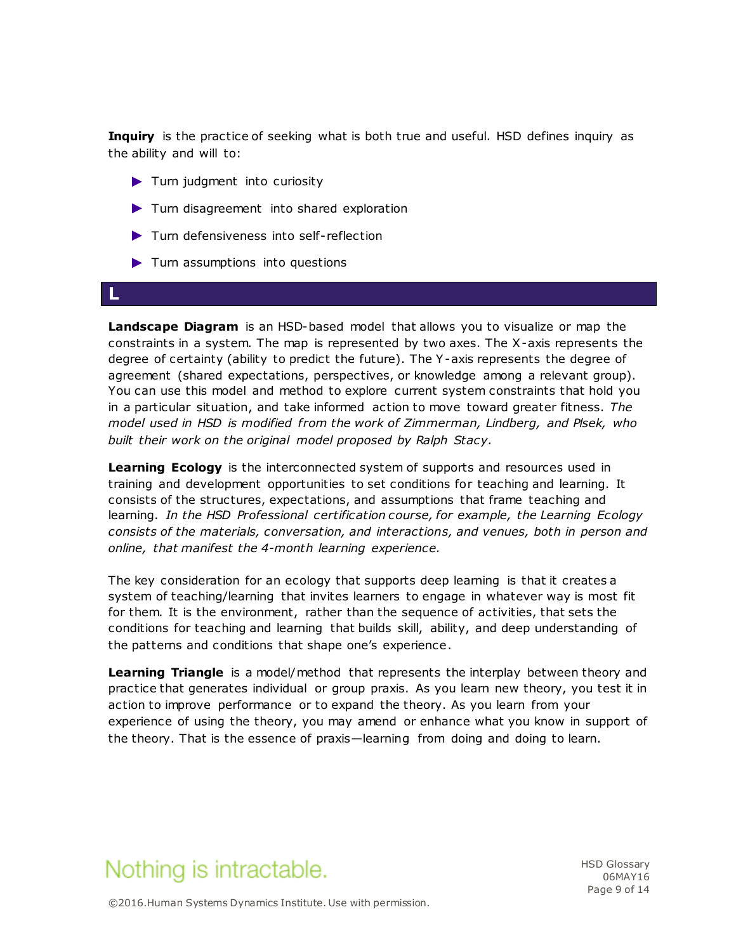**Inquiry** is the practice of seeking what is both true and useful. HSD defines inquiry as the ability and will to:

- ► Turn judgment into curiosity
- ► Turn disagreement into shared exploration
- ► Turn defensiveness into self-reflection
- ► Turn assumptions into questions

#### **L**

**Landscape Diagram** is an HSD-based model that allows you to visualize or map the constraints in a system. The map is represented by two axes. The X-axis represents the degree of certainty (ability to predict the future). The Y-axis represents the degree of agreement (shared expectations, perspectives, or knowledge among a relevant group). You can use this model and method to explore current system constraints that hold you in a particular situation, and take informed action to move toward greater fitness. *The model used in HSD is modified from the work of Zimmerman, Lindberg, and Plsek, who built their work on the original model proposed by Ralph Stacy.* 

**Learning Ecology** is the interconnected system of supports and resources used in training and development opportunities to set conditions for teaching and learning. It consists of the structures, expectations, and assumptions that frame teaching and learning. *In the HSD Professional certification course, for example, the Learning Ecology consists of the materials, conversation, and interactions, and venues, both in person and online, that manifest the 4-month learning experience.*

The key consideration for an ecology that supports deep learning is that it creates a system of teaching/learning that invites learners to engage in whatever way is most fit for them. It is the environment, rather than the sequence of activities, that sets the conditions for teaching and learning that builds skill, ability, and deep understanding of the patterns and conditions that shape one's experience.

**Learning Triangle** is a model/method that represents the interplay between theory and practice that generates individual or group praxis. As you learn new theory, you test it in action to improve performance or to expand the theory. As you learn from your experience of using the theory, you may amend or enhance what you know in support of the theory. That is the essence of praxis—learning from doing and doing to learn.

# Nothing is intractable.

HSD Glossary 06MAY16 Page 9 of 14

©2016.Human Systems Dynamics Institute. Use with permission.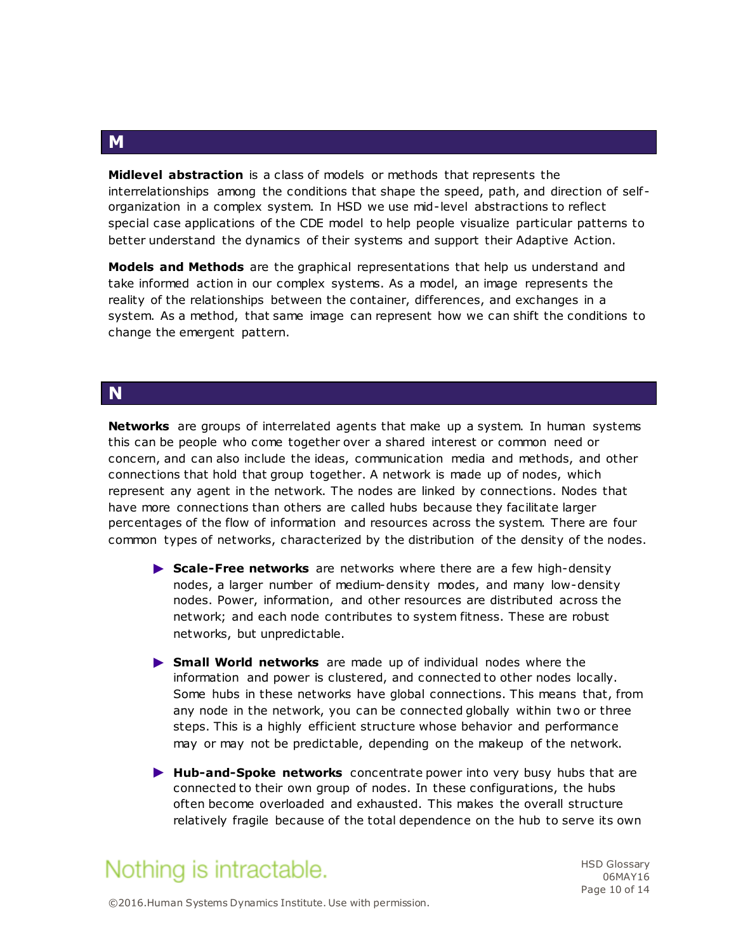**Midlevel abstraction** is a class of models or methods that represents the interrelationships among the conditions that shape the speed, path, and direction of self organization in a complex system. In HSD we use mid-level abstractions to reflect special case applications of the CDE model to help people visualize particular patterns to better understand the dynamics of their systems and support their Adaptive Action.

**Models and Methods** are the graphical representations that help us understand and take informed action in our complex systems. As a model, an image represents the reality of the relationships between the container, differences, and exchanges in a system. As a method, that same image can represent how we can shift the conditions to change the emergent pattern.

#### **N**

**Networks** are groups of interrelated agents that make up a system. In human systems this can be people who come together over a shared interest or common need or concern, and can also include the ideas, communication media and methods, and other connections that hold that group together. A network is made up of nodes, which represent any agent in the network. The nodes are linked by connections. Nodes that have more connections than others are called hubs because they facilitate larger percentages of the flow of information and resources across the system. There are four common types of networks, characterized by the distribution of the density of the nodes.

- ► **Scale-Free networks** are networks where there are a few high-density nodes, a larger number of medium-density modes, and many low-density nodes. Power, information, and other resources are distributed across the network; and each node contributes to system fitness. These are robust networks, but unpredictable.
- ► **Small World networks** are made up of individual nodes where the information and power is clustered, and connected to other nodes locally. Some hubs in these networks have global connections. This means that, from any node in the network, you can be connected globally within two or three steps. This is a highly efficient structure whose behavior and performance may or may not be predictable, depending on the makeup of the network.
- ► **Hub-and-Spoke networks** concentrate power into very busy hubs that are connected to their own group of nodes. In these configurations, the hubs often become overloaded and exhausted. This makes the overall structure relatively fragile because of the total dependence on the hub to serve its own

### Nothing is intractable.

HSD Glossary 06MAY16 Page 10 of 14

**M**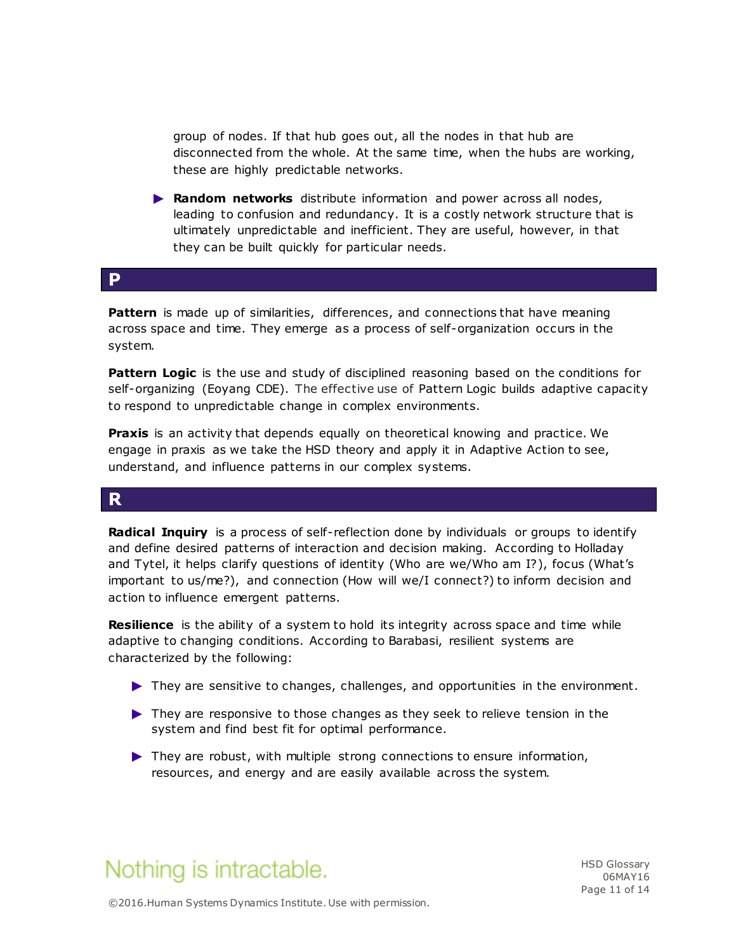group of nodes. If that hub goes out, all the nodes in that hub are disconnected from the whole. At the same time, when the hubs are working, these are highly predictable networks.

► **Random networks** distribute information and power across all nodes, leading to confusion and redundancy. It is a costly network structure that is ultimately unpredictable and inefficient. They are useful, however, in that they can be built quickly for particular needs.

#### **P**

**Pattern** is made up of similarities, differences, and connections that have meaning across space and time. They emerge as a process of self-organization occurs in the system.

**Pattern Logic** is the use and study of disciplined reasoning based on the conditions for self-organizing (Eoyang CDE). The effective use of Pattern Logic builds adaptive capacity to respond to unpredictable change in complex environments.

**Praxis** is an activity that depends equally on theoretical knowing and practice. We engage in praxis as we take the HSD theory and apply it in Adaptive Action to see, understand, and influence patterns in our complex systems.

#### **R**

**Radical Inquiry** is a process of self-reflection done by individuals or groups to identify and define desired patterns of interaction and decision making. According to Holladay and Tytel, it helps clarify questions of identity (Who are we/Who am I?), focus (What's important to us/me?), and connection (How will we/I connect?) to inform decision and action to influence emergent patterns.

**Resilience** is the ability of a system to hold its integrity across space and time while adaptive to changing conditions. According to Barabasi, resilient systems are characterized by the following:

- ► They are sensitive to changes, challenges, and opportunities in the environment.
- ► They are responsive to those changes as they seek to relieve tension in the system and find best fit for optimal performance.
- ► They are robust, with multiple strong connections to ensure information, resources, and energy and are easily available across the system.



HSD Glossary 06MAY16 Page 11 of 14

©2016.Human Systems Dynamics Institute. Use with permission.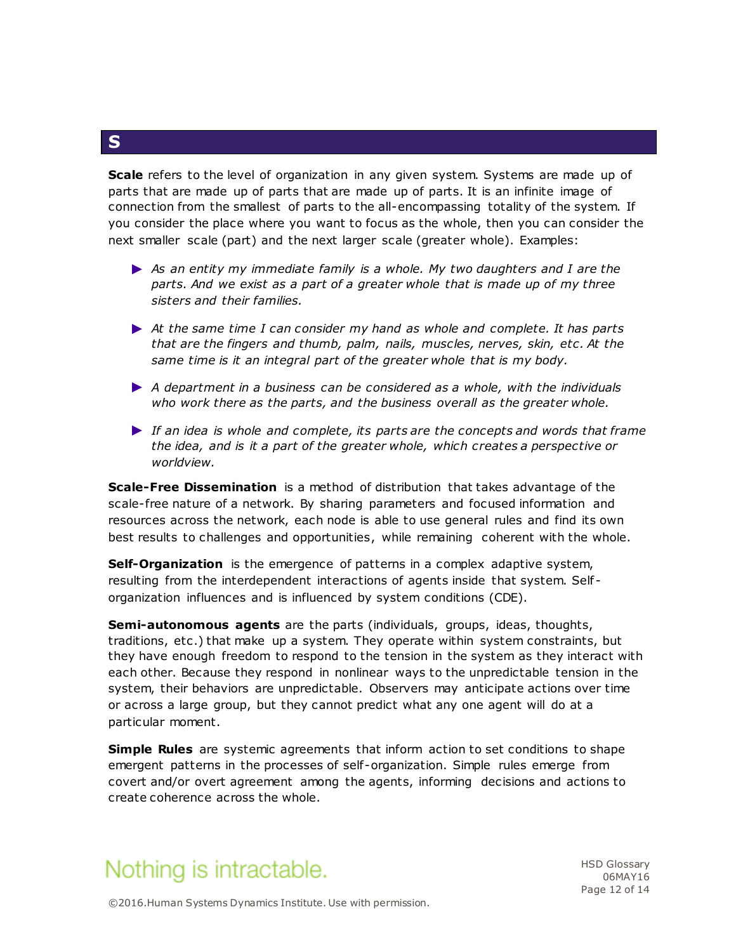**Scale** refers to the level of organization in any given system. Systems are made up of parts that are made up of parts that are made up of parts. It is an infinite image of connection from the smallest of parts to the all-encompassing totality of the system. If you consider the place where you want to focus as the whole, then you can consider the next smaller scale (part) and the next larger scale (greater whole). Examples:

- ► *As an entity my immediate family is a whole. My two daughters and I are the parts. And we exist as a part of a greater whole that is made up of my three sisters and their families.*
- ► *At the same time I can consider my hand as whole and complete. It has parts that are the fingers and thumb, palm, nails, muscles, nerves, skin, etc . At the same time is it an integral part of the greater whole that is my body.*
- ► *A department in a business can be considered as a whole, with the individuals who work there as the parts, and the business overall as the greater whole.*
- ► *If an idea is whole and complete, its parts are the concepts and words that frame the idea, and is it a part of the greater whole, which creates a perspective or worldview.*

**Scale-Free Dissemination** is a method of distribution that takes advantage of the scale-free nature of a network. By sharing parameters and focused information and resources across the network, each node is able to use general rules and find its own best results to challenges and opportunities, while remaining coherent with the whole.

**Self-Organization** is the emergence of patterns in a complex adaptive system, resulting from the interdependent interactions of agents inside that system. Self organization influences and is influenced by system conditions (CDE).

**Semi-autonomous agents** are the parts (individuals, groups, ideas, thoughts, traditions, etc .) that make up a system. They operate within system constraints, but they have enough freedom to respond to the tension in the system as they interact with each other. Because they respond in nonlinear ways to the unpredictable tension in the system, their behaviors are unpredictable. Observers may anticipate actions over time or across a large group, but they cannot predict what any one agent will do at a particular moment.

**Simple Rules** are systemic agreements that inform action to set conditions to shape emergent patterns in the processes of self-organization. Simple rules emerge from covert and/or overt agreement among the agents, informing decisions and actions to create coherence across the whole.



HSD Glossary 06MAY16 Page 12 of 14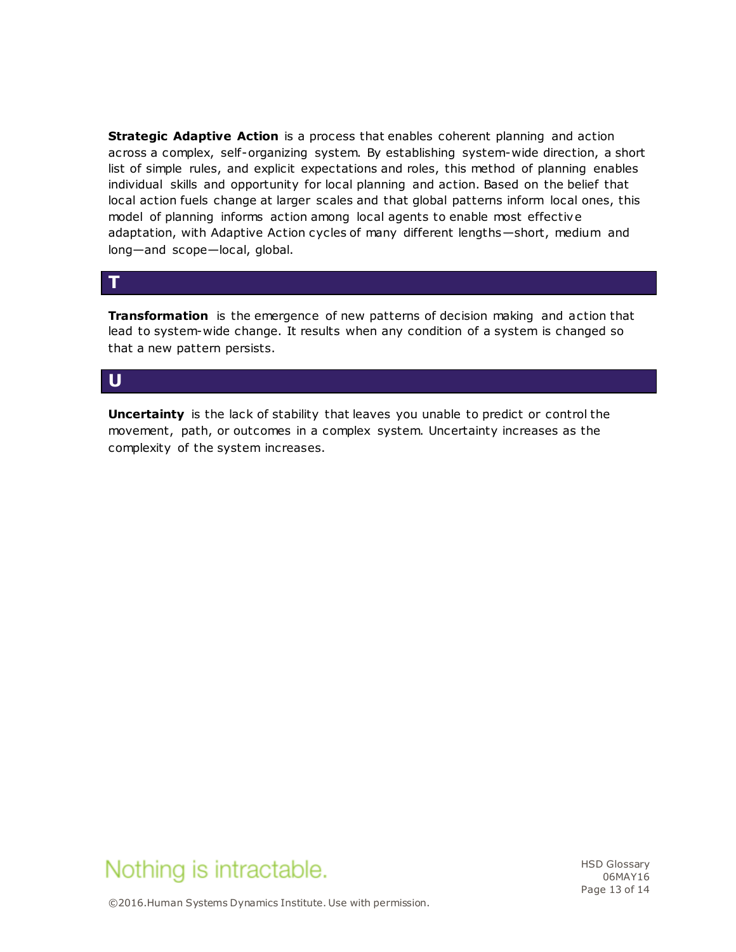**Strategic Adaptive Action** is a process that enables coherent planning and action across a complex, self-organizing system. By establishing system-wide direction, a short list of simple rules, and explicit expectations and roles, this method of planning enables individual skills and opportunity for local planning and action. Based on the belief that local action fuels change at larger scales and that global patterns inform local ones, this model of planning informs action among local agents to enable most effective adaptation, with Adaptive Action cycles of many different lengths—short, medium and long—and scope—local, global.

#### **T**

**Transformation** is the emergence of new patterns of decision making and action that lead to system-wide change. It results when any condition of a system is changed so that a new pattern persists.

### **U**

**Uncertainty** is the lack of stability that leaves you unable to predict or control the movement, path, or outcomes in a complex system. Uncertainty increases as the complexity of the system increases.



HSD Glossary 06MAY16 Page 13 of 14